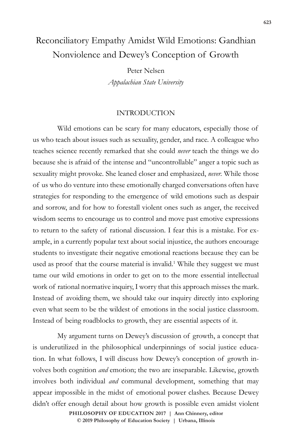# Reconciliatory Empathy Amidst Wild Emotions: Gandhian Nonviolence and Dewey's Conception of Growth

Peter Nelsen *Appalachian State University*

## INTRODUCTION

Wild emotions can be scary for many educators, especially those of us who teach about issues such as sexuality, gender, and race. A colleague who teaches science recently remarked that she could *never* teach the things we do because she is afraid of the intense and "uncontrollable" anger a topic such as sexuality might provoke. She leaned closer and emphasized, *never.* While those of us who do venture into these emotionally charged conversations often have strategies for responding to the emergence of wild emotions such as despair and sorrow, and for how to forestall violent ones such as anger, the received wisdom seems to encourage us to control and move past emotive expressions to return to the safety of rational discussion. I fear this is a mistake. For example, in a currently popular text about social injustice, the authors encourage students to investigate their negative emotional reactions because they can be used as proof that the course material is invalid.<sup>1</sup> While they suggest we must tame our wild emotions in order to get on to the more essential intellectual work of rational normative inquiry, I worry that this approach misses the mark. Instead of avoiding them, we should take our inquiry directly into exploring even what seem to be the wildest of emotions in the social justice classroom. Instead of being roadblocks to growth, they are essential aspects of it.

My argument turns on Dewey's discussion of growth, a concept that is underutilized in the philosophical underpinnings of social justice education. In what follows, I will discuss how Dewey's conception of growth involves both cognition *and* emotion; the two are inseparable. Likewise, growth involves both individual *and* communal development, something that may appear impossible in the midst of emotional power clashes. Because Dewey didn't offer enough detail about how growth is possible even amidst violent

**doi: 10.47925/73.623 PHILOSOPHY OF EDUCATION 2017 | Ann Chinnery, editor © 2019 Philosophy of Education Society | Urbana, Illinois**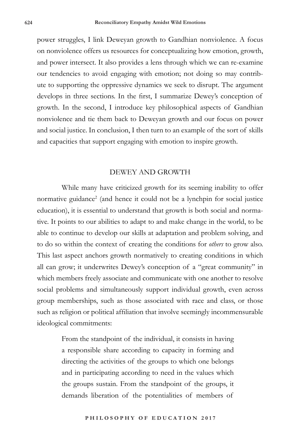power struggles, I link Deweyan growth to Gandhian nonviolence. A focus on nonviolence offers us resources for conceptualizing how emotion, growth, and power intersect. It also provides a lens through which we can re-examine our tendencies to avoid engaging with emotion; not doing so may contribute to supporting the oppressive dynamics we seek to disrupt. The argument develops in three sections. In the first, I summarize Dewey's conception of growth. In the second, I introduce key philosophical aspects of Gandhian nonviolence and tie them back to Deweyan growth and our focus on power and social justice. In conclusion, I then turn to an example of the sort of skills and capacities that support engaging with emotion to inspire growth.

### DEWEY AND GROWTH

While many have criticized growth for its seeming inability to offer normative guidance<sup>2</sup> (and hence it could not be a lynchpin for social justice education), it is essential to understand that growth is both social and normative. It points to our abilities to adapt to and make change in the world, to be able to continue to develop our skills at adaptation and problem solving, and to do so within the context of creating the conditions for *others* to grow also. This last aspect anchors growth normatively to creating conditions in which all can grow; it underwrites Dewey's conception of a "great community" in which members freely associate and communicate with one another to resolve social problems and simultaneously support individual growth, even across group memberships, such as those associated with race and class, or those such as religion or political affiliation that involve seemingly incommensurable ideological commitments:

> From the standpoint of the individual, it consists in having a responsible share according to capacity in forming and directing the activities of the groups to which one belongs and in participating according to need in the values which the groups sustain. From the standpoint of the groups, it demands liberation of the potentialities of members of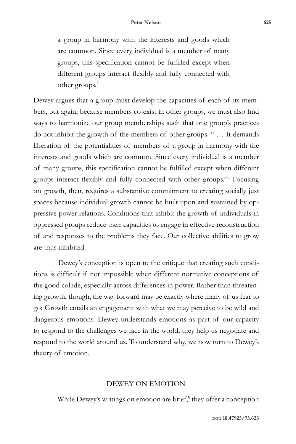a group in harmony with the interests and goods which are common. Since every individual is a member of many groups, this specification cannot be fulfilled except when different groups interact flexibly and fully connected with other groups.3

Dewey argues that a group must develop the capacities of each of its members, but again, because members co-exist in other groups, we must also find ways to harmonize our group memberships such that one group's practices do not inhibit the growth of the members of other groups: " … It demands liberation of the potentialities of members of a group in harmony with the interests and goods which are common. Since every individual is a member of many groups, this specification cannot be fulfilled except when different groups interact flexibly and fully connected with other groups."<sup>4</sup> Focusing on growth, then, requires a substantive commitment to creating socially just spaces because individual growth cannot be built upon and sustained by oppressive power relations. Conditions that inhibit the growth of individuals in oppressed groups reduce their capacities to engage in effective reconstruction of and responses to the problems they face. Our collective abilities to grow are thus inhibited.

Dewey's conception is open to the critique that creating such conditions is difficult if not impossible when different normative conceptions of the good collide, especially across differences in power. Rather than threatening growth, though, the way forward may be exactly where many of us fear to go: Growth entails an engagement with what we may perceive to be wild and dangerous emotions. Dewey understands emotions as part of our capacity to respond to the challenges we face in the world; they help us negotiate and respond to the world around us. To understand why, we now turn to Dewey's theory of emotion.

## DEWEY ON EMOTION

While Dewey's writings on emotion are brief,<sup>5</sup> they offer a conception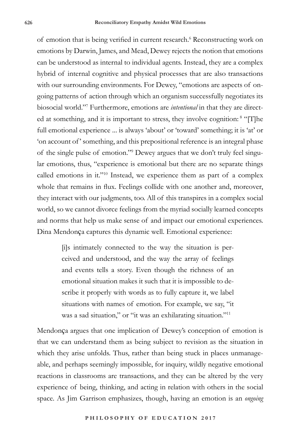of emotion that is being verified in current research.<sup>6</sup> Reconstructing work on emotions by Darwin, James, and Mead, Dewey rejects the notion that emotions can be understood as internal to individual agents. Instead, they are a complex hybrid of internal cognitive and physical processes that are also transactions with our surrounding environments. For Dewey, "emotions are aspects of ongoing patterns of action through which an organism successfully negotiates its biosocial world."7 Furthermore, emotions are *intentional* in that they are directed at something, and it is important to stress, they involve cognition: <sup>8</sup> "[T]he full emotional experience ... is always 'about' or 'toward' something; it is 'at' or 'on account of' something, and this prepositional reference is an integral phase of the single pulse of emotion."9 Dewey argues that we don't truly feel singular emotions, thus, "experience is emotional but there are no separate things called emotions in it."10 Instead, we experience them as part of a complex whole that remains in flux. Feelings collide with one another and, moreover, they interact with our judgments, too. All of this transpires in a complex social world, so we cannot divorce feelings from the myriad socially learned concepts and norms that help us make sense of and impact our emotional experiences. Dina Mendonça captures this dynamic well. Emotional experience:

> [i]s intimately connected to the way the situation is perceived and understood, and the way the array of feelings and events tells a story. Even though the richness of an emotional situation makes it such that it is impossible to describe it properly with words as to fully capture it, we label situations with names of emotion. For example, we say, "it was a sad situation," or "it was an exhilarating situation."<sup>11</sup>

Mendonça argues that one implication of Dewey's conception of emotion is that we can understand them as being subject to revision as the situation in which they arise unfolds. Thus, rather than being stuck in places unmanageable, and perhaps seemingly impossible, for inquiry, wildly negative emotional reactions in classrooms are transactions, and they can be altered by the very experience of being, thinking, and acting in relation with others in the social space. As Jim Garrison emphasizes, though, having an emotion is an *ongoing*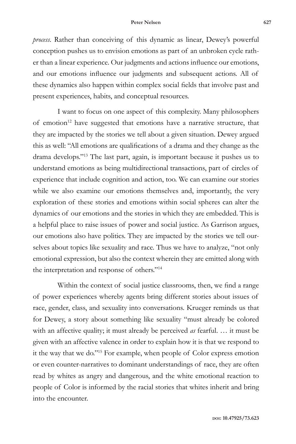#### **Peter Nelsen 627**

*process*. Rather than conceiving of this dynamic as linear, Dewey's powerful conception pushes us to envision emotions as part of an unbroken cycle rather than a linear experience. Our judgments and actions influence our emotions, and our emotions influence our judgments and subsequent actions. All of these dynamics also happen within complex social fields that involve past and present experiences, habits, and conceptual resources.

I want to focus on one aspect of this complexity. Many philosophers of emotion<sup>12</sup> have suggested that emotions have a narrative structure, that they are impacted by the stories we tell about a given situation. Dewey argued this as well: "All emotions are qualifications of a drama and they change as the drama develops."13 The last part, again, is important because it pushes us to understand emotions as being multidirectional transactions, part of circles of experience that include cognition and action, too. We can examine our stories while we also examine our emotions themselves and, importantly, the very exploration of these stories and emotions within social spheres can alter the dynamics of our emotions and the stories in which they are embedded. This is a helpful place to raise issues of power and social justice. As Garrison argues, our emotions also have politics. They are impacted by the stories we tell ourselves about topics like sexuality and race. Thus we have to analyze, "not only emotional expression, but also the context wherein they are emitted along with the interpretation and response of others."14

Within the context of social justice classrooms, then, we find a range of power experiences whereby agents bring different stories about issues of race, gender, class, and sexuality into conversations. Krueger reminds us that for Dewey, a story about something like sexuality "must already be colored with an affective quality; it must already be perceived *as* fearful. … it must be given with an affective valence in order to explain how it is that we respond to it the way that we do."15 For example, when people of Color express emotion or even counter-narratives to dominant understandings of race, they are often read by whites as angry and dangerous, and the white emotional reaction to people of Color is informed by the racial stories that whites inherit and bring into the encounter.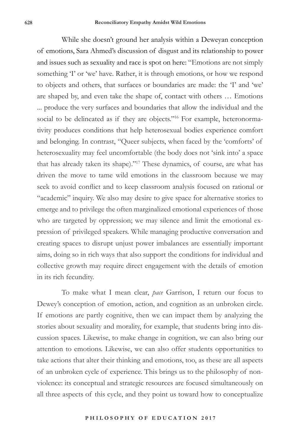While she doesn't ground her analysis within a Deweyan conception of emotions, Sara Ahmed's discussion of disgust and its relationship to power and issues such as sexuality and race is spot on here: "Emotions are not simply something 'I' or 'we' have. Rather, it is through emotions, or how we respond to objects and others, that surfaces or boundaries are made: the 'I' and 'we' are shaped by, and even take the shape of, contact with others … Emotions ... produce the very surfaces and boundaries that allow the individual and the social to be delineated as if they are objects."<sup>16</sup> For example, heteronormativity produces conditions that help heterosexual bodies experience comfort and belonging. In contrast, "Queer subjects, when faced by the 'comforts' of heterosexuality may feel uncomfortable (the body does not 'sink into' a space that has already taken its shape)."17 These dynamics, of course, are what has driven the move to tame wild emotions in the classroom because we may seek to avoid conflict and to keep classroom analysis focused on rational or "academic" inquiry. We also may desire to give space for alternative stories to emerge and to privilege the often marginalized emotional experiences of those who are targeted by oppression; we may silence and limit the emotional expression of privileged speakers. While managing productive conversation and creating spaces to disrupt unjust power imbalances are essentially important aims, doing so in rich ways that also support the conditions for individual and collective growth may require direct engagement with the details of emotion in its rich fecundity.

To make what I mean clear, *pace* Garrison, I return our focus to Dewey's conception of emotion, action, and cognition as an unbroken circle. If emotions are partly cognitive, then we can impact them by analyzing the stories about sexuality and morality, for example, that students bring into discussion spaces. Likewise, to make change in cognition, we can also bring our attention to emotions. Likewise, we can also offer students opportunities to take actions that alter their thinking and emotions, too, as these are all aspects of an unbroken cycle of experience. This brings us to the philosophy of nonviolence: its conceptual and strategic resources are focused simultaneously on all three aspects of this cycle, and they point us toward how to conceptualize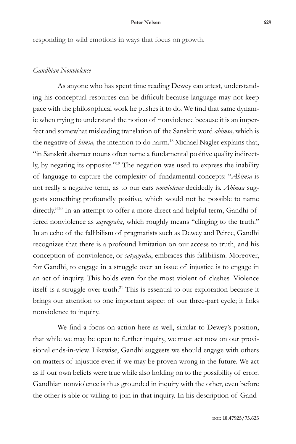responding to wild emotions in ways that focus on growth.

# *Gandhian Nonviolence*

As anyone who has spent time reading Dewey can attest, understanding his conceptual resources can be difficult because language may not keep pace with the philosophical work he pushes it to do. We find that same dynamic when trying to understand the notion of nonviolence because it is an imperfect and somewhat misleading translation of the Sanskrit word *ahimsa,* which is the negative of *himsa*, the intention to do harm.<sup>18</sup> Michael Nagler explains that, "in Sanskrit abstract nouns often name a fundamental positive quality indirectly, by negating its opposite."19 The negation was used to express the inability of language to capture the complexity of fundamental concepts: "*Ahimsa* is not really a negative term, as to our ears *nonviolence* decidedly is. *Ahimsa* suggests something profoundly positive, which would not be possible to name directly."<sup>20</sup> In an attempt to offer a more direct and helpful term, Gandhi offered nonviolence as *satyagraha*, which roughly means "clinging to the truth." In an echo of the fallibilism of pragmatists such as Dewey and Peirce, Gandhi recognizes that there is a profound limitation on our access to truth, and his conception of nonviolence, or *satyagraha*, embraces this fallibilism. Moreover, for Gandhi, to engage in a struggle over an issue of injustice is to engage in an act of inquiry. This holds even for the most violent of clashes. Violence itself is a struggle over truth.<sup>21</sup> This is essential to our exploration because it brings our attention to one important aspect of our three-part cycle; it links nonviolence to inquiry.

We find a focus on action here as well, similar to Dewey's position, that while we may be open to further inquiry, we must act now on our provisional ends-in-view. Likewise, Gandhi suggests we should engage with others on matters of injustice even if we may be proven wrong in the future. We act as if our own beliefs were true while also holding on to the possibility of error. Gandhian nonviolence is thus grounded in inquiry with the other, even before the other is able or willing to join in that inquiry. In his description of Gand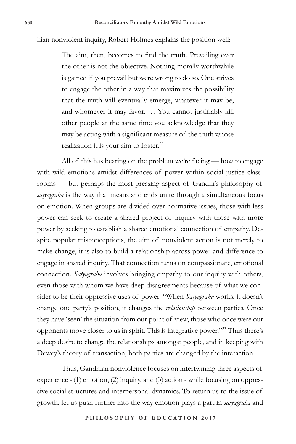hian nonviolent inquiry, Robert Holmes explains the position well:

The aim, then, becomes to find the truth. Prevailing over the other is not the objective. Nothing morally worthwhile is gained if you prevail but were wrong to do so. One strives to engage the other in a way that maximizes the possibility that the truth will eventually emerge, whatever it may be, and whomever it may favor. … You cannot justifiably kill other people at the same time you acknowledge that they may be acting with a significant measure of the truth whose realization it is your aim to foster.<sup>22</sup>

All of this has bearing on the problem we're facing — how to engage with wild emotions amidst differences of power within social justice classrooms — but perhaps the most pressing aspect of Gandhi's philosophy of *satyagraha* is the way that means and ends unite through a simultaneous focus on emotion. When groups are divided over normative issues, those with less power can seek to create a shared project of inquiry with those with more power by seeking to establish a shared emotional connection of empathy. Despite popular misconceptions, the aim of nonviolent action is not merely to make change, it is also to build a relationship across power and difference to engage in shared inquiry. That connection turns on compassionate, emotional connection. *Satyagraha* involves bringing empathy to our inquiry with others, even those with whom we have deep disagreements because of what we consider to be their oppressive uses of power. "When *Satyagraha* works, it doesn't change one party's position, it changes the *relationship* between parties. Once they have 'seen' the situation from our point of view, those who once were our opponents move closer to us in spirit. This is integrative power."23 Thus there's a deep desire to change the relationships amongst people, and in keeping with Dewey's theory of transaction, both parties are changed by the interaction.

Thus, Gandhian nonviolence focuses on intertwining three aspects of experience - (1) emotion, (2) inquiry, and (3) action - while focusing on oppressive social structures and interpersonal dynamics. To return us to the issue of growth, let us push further into the way emotion plays a part in *satyagraha* and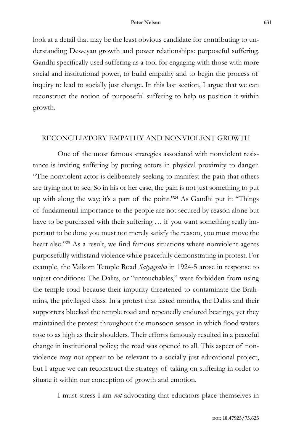look at a detail that may be the least obvious candidate for contributing to understanding Deweyan growth and power relationships: purposeful suffering. Gandhi specifically used suffering as a tool for engaging with those with more social and institutional power, to build empathy and to begin the process of inquiry to lead to socially just change. In this last section, I argue that we can reconstruct the notion of purposeful suffering to help us position it within growth.

# RECONCILIATORY EMPATHY AND NONVIOLENT GROWTH

One of the most famous strategies associated with nonviolent resistance is inviting suffering by putting actors in physical proximity to danger. "The nonviolent actor is deliberately seeking to manifest the pain that others are trying not to see. So in his or her case, the pain is not just something to put up with along the way; it's a part of the point."24 As Gandhi put it: "Things of fundamental importance to the people are not secured by reason alone but have to be purchased with their suffering … if you want something really important to be done you must not merely satisfy the reason, you must move the heart also."<sup>25</sup> As a result, we find famous situations where nonviolent agents purposefully withstand violence while peacefully demonstrating in protest. For example, the Vaikom Temple Road *Satyagraha* in 1924-5 arose in response to unjust conditions: The Dalits, or "untouchables," were forbidden from using the temple road because their impurity threatened to contaminate the Brahmins, the privileged class. In a protest that lasted months, the Dalits and their supporters blocked the temple road and repeatedly endured beatings, yet they maintained the protest throughout the monsoon season in which flood waters rose to as high as their shoulders. Their efforts famously resulted in a peaceful change in institutional policy; the road was opened to all. This aspect of nonviolence may not appear to be relevant to a socially just educational project, but I argue we can reconstruct the strategy of taking on suffering in order to situate it within our conception of growth and emotion.

I must stress I am *not* advocating that educators place themselves in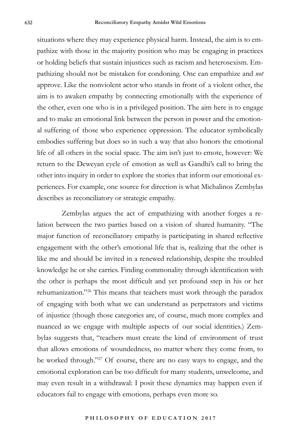situations where they may experience physical harm. Instead, the aim is to empathize with those in the majority position who may be engaging in practices or holding beliefs that sustain injustices such as racism and heterosexism. Empathizing should not be mistaken for condoning. One can empathize and *not* approve. Like the nonviolent actor who stands in front of a violent other, the aim is to awaken empathy by connecting emotionally with the experience of the other, even one who is in a privileged position. The aim here is to engage and to make an emotional link between the person in power and the emotional suffering of those who experience oppression. The educator symbolically embodies suffering but does so in such a way that also honors the emotional life of all others in the social space. The aim isn't just to emote, however: We return to the Deweyan cycle of emotion as well as Gandhi's call to bring the other into inquiry in order to explore the stories that inform our emotional experiences. For example, one source for direction is what Michalinos Zembylas describes as reconciliatory or strategic empathy.

Zembylas argues the act of empathizing with another forges a relation between the two parties based on a vision of shared humanity. "The major function of reconciliatory empathy is participating in shared reflective engagement with the other's emotional life that is, realizing that the other is like me and should be invited in a renewed relationship, despite the troubled knowledge he or she carries. Finding commonality through identification with the other is perhaps the most difficult and yet profound step in his or her rehumanization."26 This means that teachers must work through the paradox of engaging with both what we can understand as perpetrators and victims of injustice (though those categories are, of course, much more complex and nuanced as we engage with multiple aspects of our social identities.) Zembylas suggests that, "teachers must create the kind of environment of trust that allows emotions of woundedness, no matter where they come from, to be worked through."27 Of course, there are no easy ways to engage, and the emotional exploration can be too difficult for many students, unwelcome, and may even result in a withdrawal: I posit these dynamics may happen even if educators fail to engage with emotions, perhaps even more so.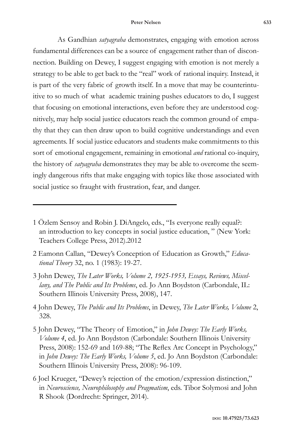#### **Peter Nelsen 633**

As Gandhian *satyagraha* demonstrates, engaging with emotion across fundamental differences can be a source of engagement rather than of disconnection. Building on Dewey, I suggest engaging with emotion is not merely a strategy to be able to get back to the "real" work of rational inquiry. Instead, it is part of the very fabric of growth itself. In a move that may be counterintuitive to so much of what academic training pushes educators to do, I suggest that focusing on emotional interactions, even before they are understood cognitively, may help social justice educators reach the common ground of empathy that they can then draw upon to build cognitive understandings and even agreements. If social justice educators and students make commitments to this sort of emotional engagement, remaining in emotional *and* rational co-inquiry, the history of *satyagraha* demonstrates they may be able to overcome the seemingly dangerous rifts that make engaging with topics like those associated with social justice so fraught with frustration, fear, and danger.

- 2 Eamonn Callan, "Dewey's Conception of Education as Growth," *Educational Theory* 32, no. 1 (1983): 19-27.
- 3 John Dewey, *The Later Works, Volume 2, 1925-1953, Essays, Reviews, Miscellany, and The Public and Its Problems*, ed. Jo Ann Boydston (Carbondale, IL: Southern Illinois University Press, 2008), 147.
- 4 John Dewey, *The Public and Its Problems*, in Dewey, *The Later Works, Volume* 2, 328.
- 5 John Dewey, "The Theory of Emotion," in *John Dewey: The Early Works, Volume 4*, ed. Jo Ann Boydston (Carbondale: Southern Illinois University Press, 2008): 152-69 and 169-88; "The Reflex Arc Concept in Psychology," in *John Dewey: The Early Works, Volume 5*, ed. Jo Ann Boydston (Carbondale: Southern Illinois University Press, 2008): 96-109.
- 6 Joel Krueger, "Dewey's rejection of the emotion/expression distinction," in *Neuroscience, Neurophilosophy and Pragmatism*, eds. Tibor Solymosi and John R Shook (Dordrecht: Springer, 2014).

<sup>1</sup> Özlem Sensoy and Robin J. DiAngelo, eds., "Is everyone really equal?: an introduction to key concepts in social justice education, " (New York: Teachers College Press, 2012).2012